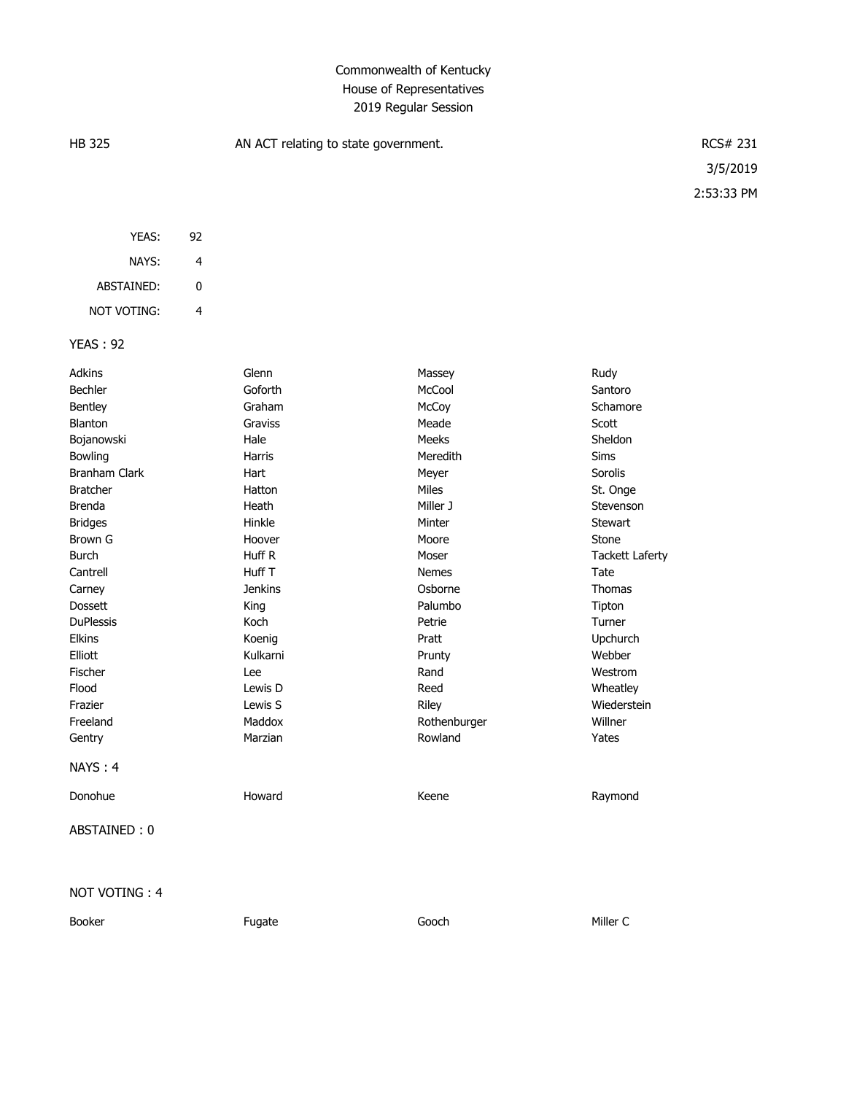## Commonwealth of Kentucky House of Representatives 2019 Regular Session

| <b>HB 325</b>        |                         | AN ACT relating to state government. |              | RCS# 231               |            |
|----------------------|-------------------------|--------------------------------------|--------------|------------------------|------------|
|                      |                         |                                      |              |                        | 3/5/2019   |
|                      |                         |                                      |              |                        | 2:53:33 PM |
|                      |                         |                                      |              |                        |            |
| YEAS:                | 92                      |                                      |              |                        |            |
| NAYS:                | $\overline{\mathbf{4}}$ |                                      |              |                        |            |
|                      |                         |                                      |              |                        |            |
| ABSTAINED:           | 0                       |                                      |              |                        |            |
| NOT VOTING:          | $\overline{4}$          |                                      |              |                        |            |
| <b>YEAS: 92</b>      |                         |                                      |              |                        |            |
| Adkins               |                         | Glenn                                | Massey       | Rudy                   |            |
| Bechler              |                         | Goforth                              | McCool       | Santoro                |            |
| Bentley              |                         | Graham                               | McCoy        | Schamore               |            |
| Blanton              |                         | Graviss                              | Meade        | Scott                  |            |
| Bojanowski           |                         | Hale                                 | Meeks        | Sheldon                |            |
| Bowling              |                         | Harris                               | Meredith     | Sims                   |            |
| <b>Branham Clark</b> |                         | Hart                                 | Meyer        | Sorolis                |            |
| <b>Bratcher</b>      |                         | Hatton                               | Miles        | St. Onge               |            |
| <b>Brenda</b>        |                         | Heath                                | Miller J     | Stevenson              |            |
| <b>Bridges</b>       |                         | Hinkle                               | Minter       | Stewart                |            |
| Brown G              |                         | Hoover                               | Moore        | Stone                  |            |
| <b>Burch</b>         |                         | Huff R                               | Moser        | <b>Tackett Laferty</b> |            |
| Cantrell             |                         | Huff T                               | <b>Nemes</b> | Tate                   |            |
| Carney               |                         | <b>Jenkins</b>                       | Osborne      | Thomas                 |            |
| Dossett              |                         | King                                 | Palumbo      | Tipton                 |            |
| <b>DuPlessis</b>     |                         | Koch                                 | Petrie       | Turner                 |            |
| Elkins               |                         | Koenig                               | Pratt        | Upchurch               |            |
| Elliott              |                         | Kulkarni                             | Prunty       | Webber                 |            |
| Fischer              |                         | Lee                                  | Rand         | Westrom                |            |
| Flood                |                         | Lewis D                              | Reed         | Wheatley               |            |
| Frazier              |                         | Lewis S                              | Riley        | Wiederstein            |            |
| Freeland             |                         | Maddox                               | Rothenburger | Willner                |            |
| Gentry               |                         | Marzian                              | Rowland      | Yates                  |            |
| NAYS: 4              |                         |                                      |              |                        |            |
| Donohue              |                         | Howard                               | Keene        | Raymond                |            |
| ABSTAINED: 0         |                         |                                      |              |                        |            |
|                      |                         |                                      |              |                        |            |
|                      |                         |                                      |              |                        |            |

## NOT VOTING : 4

Booker Fugate Gooch Miller C